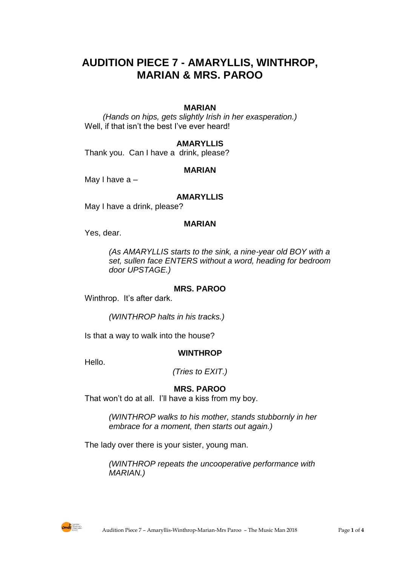# **AUDITION PIECE 7 - AMARYLLIS, WINTHROP, MARIAN & MRS. PAROO**

# **MARIAN**

*(Hands on hips, gets slightly Irish in her exasperation.)* Well, if that isn't the best I've ever heard!

## **AMARYLLIS**

Thank you. Can I have a drink, please?

#### **MARIAN**

May I have a –

#### **AMARYLLIS**

May I have a drink, please?

#### **MARIAN**

Yes, dear.

*(As AMARYLLIS starts to the sink, a nine-year old BOY with a set, sullen face ENTERS without a word, heading for bedroom door UPSTAGE.)*

## **MRS. PAROO**

Winthrop. It's after dark.

*(WINTHROP halts in his tracks.)*

Is that a way to walk into the house?

#### **WINTHROP**

Hello.

*(Tries to EXIT.)*

## **MRS. PAROO**

That won't do at all. I'll have a kiss from my boy.

*(WINTHROP walks to his mother, stands stubbornly in her embrace for a moment, then starts out again.)*

The lady over there is your sister, young man.

*(WINTHROP repeats the uncooperative performance with MARIAN.)*

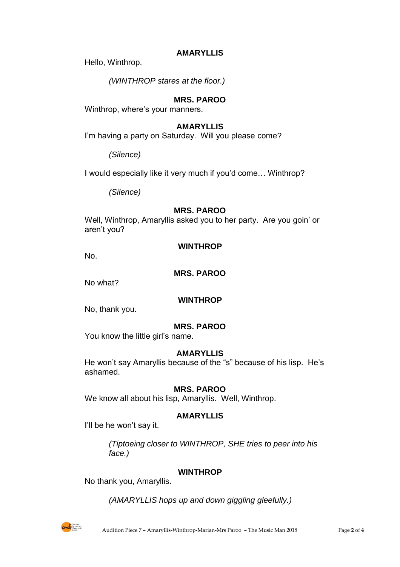## **AMARYLLIS**

Hello, Winthrop.

*(WINTHROP stares at the floor.)*

# **MRS. PAROO**

Winthrop, where's your manners.

## **AMARYLLIS**

I'm having a party on Saturday. Will you please come?

*(Silence)*

I would especially like it very much if you'd come… Winthrop?

*(Silence)*

## **MRS. PAROO**

Well, Winthrop, Amaryllis asked you to her party. Are you goin' or aren't you?

## **WINTHROP**

No.

**MRS. PAROO**

No what?

## **WINTHROP**

No, thank you.

# **MRS. PAROO**

You know the little girl's name.

## **AMARYLLIS**

He won't say Amaryllis because of the "s" because of his lisp. He's ashamed.

## **MRS. PAROO**

We know all about his lisp, Amaryllis. Well, Winthrop.

## **AMARYLLIS**

I'll be he won't say it.

*(Tiptoeing closer to WINTHROP, SHE tries to peer into his face.)*

## **WINTHROP**

No thank you, Amaryllis.

*(AMARYLLIS hops up and down giggling gleefully.)*

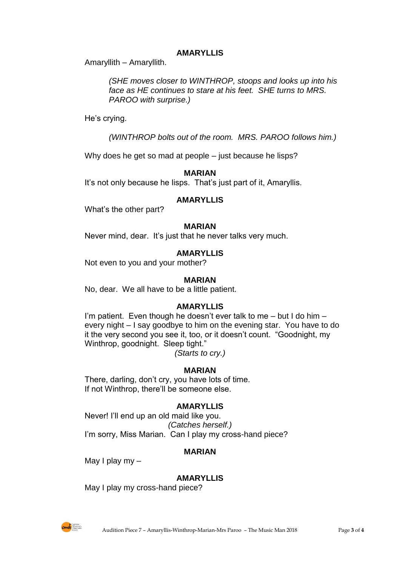# **AMARYLLIS**

Amaryllith – Amaryllith.

*(SHE moves closer to WINTHROP, stoops and looks up into his face as HE continues to stare at his feet. SHE turns to MRS. PAROO with surprise.)*

He's crying.

*(WINTHROP bolts out of the room. MRS. PAROO follows him.)*

Why does he get so mad at people – just because he lisps?

**MARIAN**

It's not only because he lisps. That's just part of it, Amaryllis.

## **AMARYLLIS**

What's the other part?

## **MARIAN**

Never mind, dear. It's just that he never talks very much.

# **AMARYLLIS**

Not even to you and your mother?

## **MARIAN**

No, dear. We all have to be a little patient.

## **AMARYLLIS**

I'm patient. Even though he doesn't ever talk to me – but I do him – every night – I say goodbye to him on the evening star. You have to do it the very second you see it, too, or it doesn't count. "Goodnight, my Winthrop, goodnight. Sleep tight."

*(Starts to cry.)*

# **MARIAN**

There, darling, don't cry, you have lots of time. If not Winthrop, there'll be someone else.

# **AMARYLLIS**

Never! I'll end up an old maid like you. *(Catches herself.)* I'm sorry, Miss Marian. Can I play my cross-hand piece?

## **MARIAN**

May I play my –

## **AMARYLLIS**

May I play my cross-hand piece?